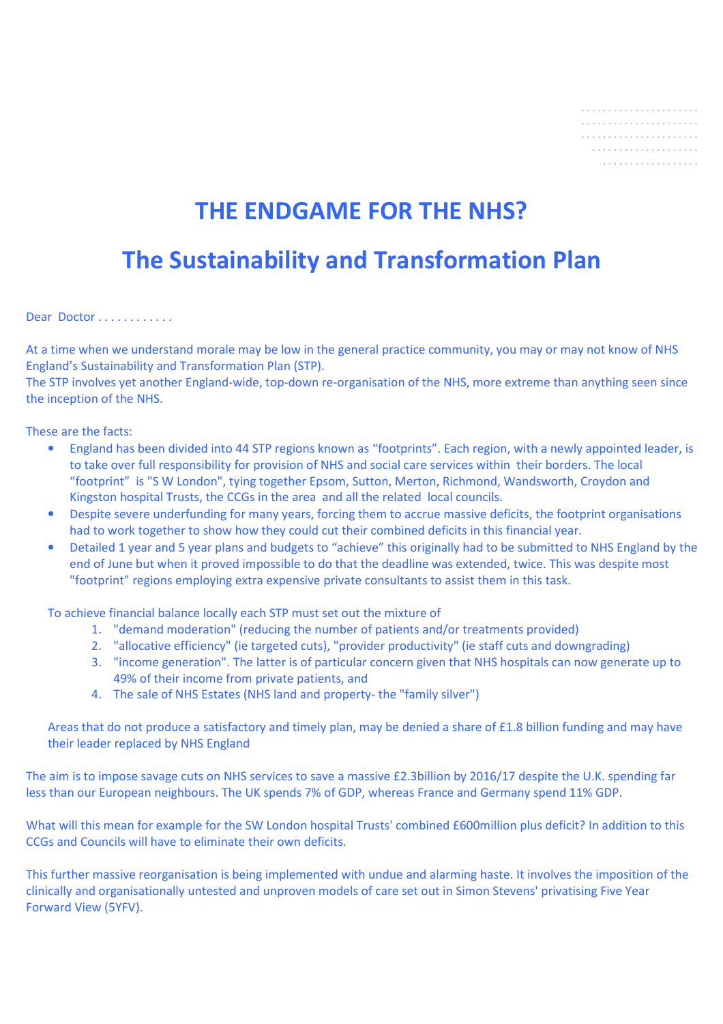|  |  |  |  |  |  |  |  |  |  | . |
|--|--|--|--|--|--|--|--|--|--|---|

# **THE ENDGAME FOR THE NHS?**

## **The Sustainability and Transformation Plan**

Dear Doctor . . . . . . . . . . . .

At a time when we understand morale may be low in the general practice community, you may or may not know of NHS England's Sustainability and Transformation Plan (STP).

The STP involves yet another England-wide, top-down re-organisation of the NHS, more extreme than anything seen since the inception of the NHS.

These are the facts:

- England has been divided into 44 STP regions known as "footprints". Each region, with a newly appointed leader, is to take over full responsibility for provision of NHS and social care services within their borders. The local "footprint" is "S W London", tying together Epsom, Sutton, Merton, Richmond, Wandsworth, Croydon and Kingston hospital Trusts, the CCGs in the area and all the related local councils.
- Despite severe underfunding for many years, forcing them to accrue massive deficits, the footprint organisations had to work together to show how they could cut their combined deficits in this financial year.
- Detailed 1 year and 5 year plans and budgets to "achieve" this originally had to be submitted to NHS England by the end of June but when it proved impossible to do that the deadline was extended, twice. This was despite most "footprint" regions employing extra expensive private consultants to assist them in this task.

To achieve financial balance locally each STP must set out the mixture of

- 1. "demand moderation" (reducing the number of patients and/or treatments provided)
- 2. "allocative efficiency" (ie targeted cuts), "provider productivity" (ie staff cuts and downgrading)
- 3. "income generation". The latter is of particular concern given that NHS hospitals can now generate up to 49% of their income from private patients, and
- 4. The sale of NHS Estates (NHS land and property- the "family silver")

Areas that do not produce a satisfactory and timely plan, may be denied a share of £1.8 billion funding and may have their leader replaced by NHS England

The aim is to impose savage cuts on NHS services to save a massive £2.3billion by 2016/17 despite the U.K. spending far less than our European neighbours. The UK spends 7% of GDP, whereas France and Germany spend 11% GDP.

What will this mean for example for the SW London hospital Trusts' combined £600million plus deficit? In addition to this CCGs and Councils will have to eliminate their own deficits.

This further massive reorganisation is being implemented with undue and alarming haste. It involves the imposition of the clinically and organisationally untested and unproven models of care set out in Simon Stevens' privatising Five Year Forward View (5YFV).